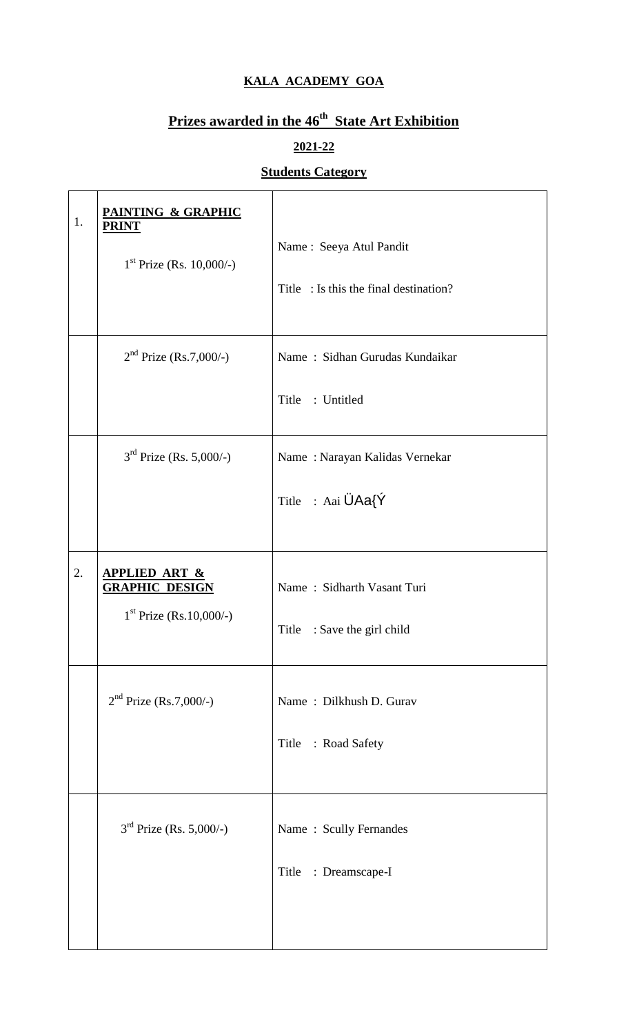#### **KALA ACADEMY GOA**

## **Prizes awarded in the 46 th State Art Exhibition**

## **2021-22**

# **Students Category**

 $\overline{\phantom{a}}$ 

| 1. | PAINTING & GRAPHIC<br><b>PRINT</b><br>$1st$ Prize (Rs. 10,000/-)               | Name: Seeya Atul Pandit<br>Title : Is this the final destination? |
|----|--------------------------------------------------------------------------------|-------------------------------------------------------------------|
|    | $2nd$ Prize (Rs.7,000/-)                                                       | Name: Sidhan Gurudas Kundaikar<br>Title<br>: Untitled             |
|    | $3rd$ Prize (Rs. 5,000/-)                                                      | Name: Narayan Kalidas Vernekar<br>Title : Aai ÜAa{Ý               |
| 2. | <u>APPLIED ART &amp;</u><br><b>GRAPHIC DESIGN</b><br>$1st$ Prize (Rs.10,000/-) | Name: Sidharth Vasant Turi<br>Title<br>: Save the girl child      |
|    | $2nd$ Prize (Rs.7,000/-)                                                       | Name: Dilkhush D. Gurav<br>Title : Road Safety                    |
|    | $3rd$ Prize (Rs. 5,000/-)                                                      | Name: Scully Fernandes<br>: Dreamscape-I<br>Title                 |